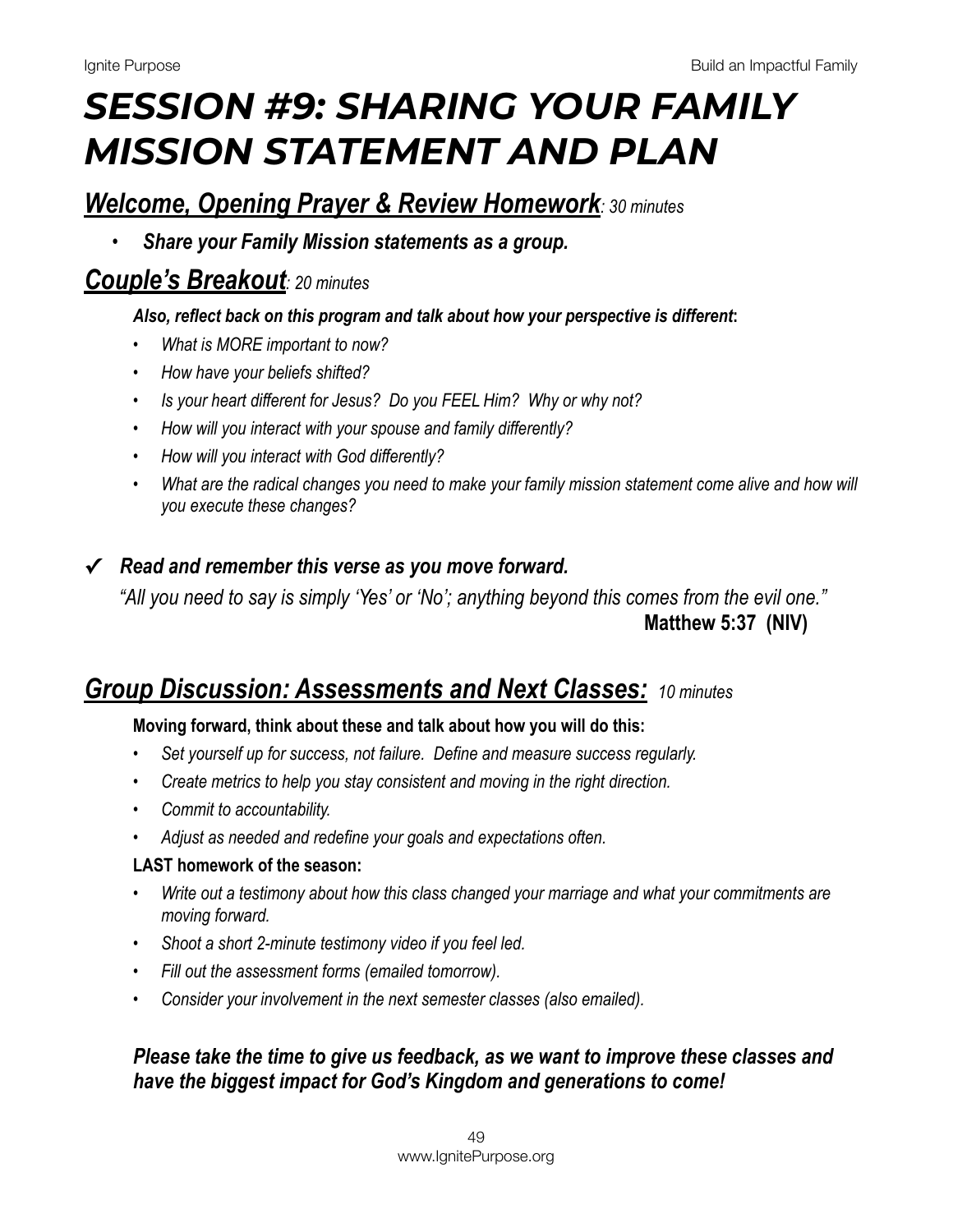# *SESSION #9: SHARING YOUR FAMILY MISSION STATEMENT AND PLAN*

### *Welcome, Opening Prayer & Review Homework: 30 minutes*

• *Share your Family Mission statements as a group.*

### *Couple's Breakout: 20 minutes*

#### *Also, reflect back on this program and talk about how your perspective is different***:**

- *What is MORE important to now?*
- *How have your beliefs shifted?*
- *Is your heart different for Jesus? Do you FEEL Him? Why or why not?*
- *How will you interact with your spouse and family differently?*
- *How will you interact with God differently?*
- *What are the radical changes you need to make your family mission statement come alive and how will you execute these changes?*

#### **✓** *Read and remember this verse as you move forward.*

*"All you need to say is simply 'Yes' or 'No'; anything beyond this comes from the evil one."* **Matthew 5:37 (NIV)** 

## *Group Discussion: Assessments and Next Classes: 10 minutes*

#### **Moving forward, think about these and talk about how you will do this:**

- *Set yourself up for success, not failure. Define and measure success regularly.*
- *Create metrics to help you stay consistent and moving in the right direction.*
- *Commit to accountability.*
- *Adjust as needed and redefine your goals and expectations often.*

#### **LAST homework of the season:**

- *Write out a testimony about how this class changed your marriage and what your commitments are moving forward.*
- *Shoot a short 2-minute testimony video if you feel led.*
- *Fill out the assessment forms (emailed tomorrow).*
- *Consider your involvement in the next semester classes (also emailed).*

#### *Please take the time to give us feedback, as we want to improve these classes and have the biggest impact for God's Kingdom and generations to come!*